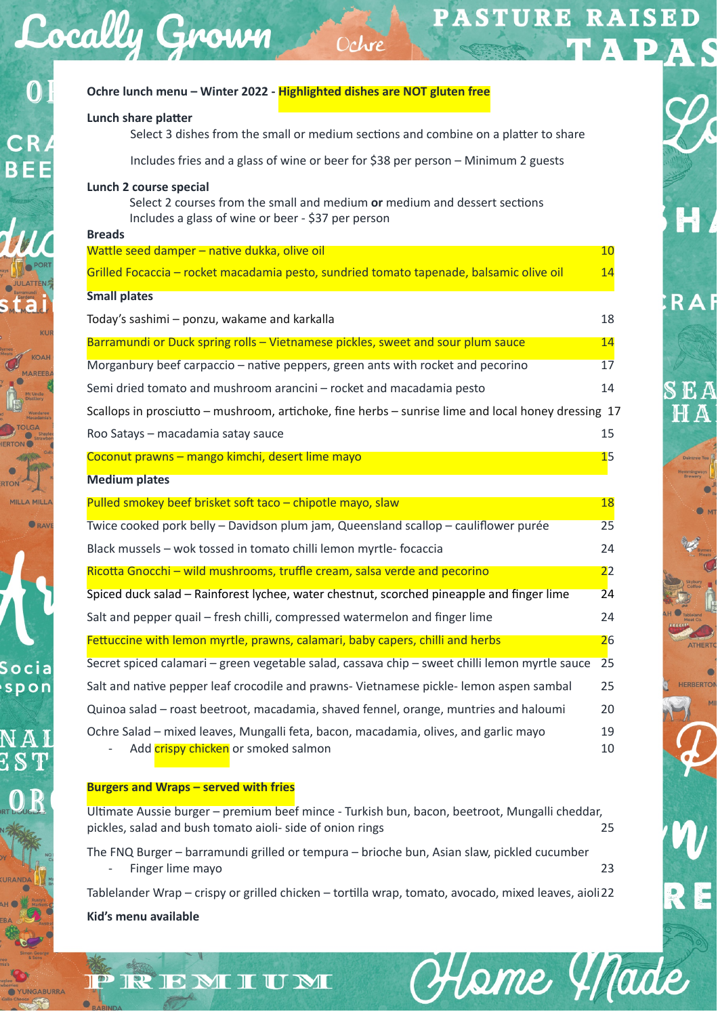# **PASTURE RAISED** Ochre **Ochre lunch menu – Winter 2022 - Highlighted dishes are NOT gluten free**

Heme Made

**RAF** 

# **Lunch share platter**

Cocally Grown

Select 3 dishes from the small or medium sections and combine on a platter to share

Includes fries and a glass of wine or beer for \$38 per person – Minimum 2 guests

# **Lunch 2 course special**

Select 2 courses from the small and medium or medium and dessert sections Includes a glass of wine or beer - \$37 per person

#### **Breads**

 $\mathbf{0}$ 

Socia spon

| Wattle seed damper - native dukka, olive oil                                                        | 10             |
|-----------------------------------------------------------------------------------------------------|----------------|
| Grilled Focaccia - rocket macadamia pesto, sundried tomato tapenade, balsamic olive oil             | 14             |
| <b>Small plates</b>                                                                                 |                |
| Today's sashimi - ponzu, wakame and karkalla                                                        | 18             |
| Barramundi or Duck spring rolls - Vietnamese pickles, sweet and sour plum sauce                     | 14             |
| Morganbury beef carpaccio – native peppers, green ants with rocket and pecorino                     | 17             |
| Semi dried tomato and mushroom arancini – rocket and macadamia pesto                                | 14             |
| Scallops in prosciutto - mushroom, artichoke, fine herbs - sunrise lime and local honey dressing 17 |                |
| Roo Satays - macadamia satay sauce                                                                  | 15             |
| Coconut prawns - mango kimchi, desert lime mayo                                                     | 1 <sub>5</sub> |
| <b>Medium plates</b>                                                                                |                |
| Pulled smokey beef brisket soft taco - chipotle mayo, slaw                                          | 18             |
| Twice cooked pork belly - Davidson plum jam, Queensland scallop - cauliflower purée                 | 25             |
| Black mussels - wok tossed in tomato chilli lemon myrtle-focaccia                                   | 24             |
| Ricotta Gnocchi - wild mushrooms, truffle cream, salsa verde and pecorino                           | 22             |
| Spiced duck salad – Rainforest lychee, water chestnut, scorched pineapple and finger lime           | 24             |
| Salt and pepper quail – fresh chilli, compressed watermelon and finger lime                         | 24             |

Fettuccine with lemon myrtle, prawns, calamari, baby capers, chilli and herbs 26 Secret spiced calamari – green vegetable salad, cassava chip – sweet chilli lemon myrtle sauce 25 Salt and native pepper leaf crocodile and prawns- Vietnamese pickle- lemon aspen sambal 25 Quinoa salad – roast beetroot, macadamia, shaved fennel, orange, muntries and haloumi 20

Ochre Salad – mixed leaves, Mungalli feta, bacon, macadamia, olives, and garlic mayo 19 Add crispy chicken or smoked salmon 10 and 20 and 20 and 20 and 20 and 20 and 20 and 20 and 20 and 20 and 20 and 20 and 20 and 20 and 20 and 20 and 20 and 20 and 20 and 20 and 20 and 20 and 20 and 20 and 20 and 20 and 20 a

# **Burgers and Wraps – served with fries**

PREMIUM

Ultimate Aussie burger – premium beef mince - Turkish bun, bacon, beetroot, Mungalli cheddar, pickles, salad and bush tomato aioli- side of onion rings 25

The FNQ Burger – barramundi grilled or tempura – brioche bun, Asian slaw, pickled cucumber Finger lime mayo 23

Tablelander Wrap – crispy or grilled chicken – tortilla wrap, tomato, avocado, mixed leaves, aioli 22

### **Kid's menu available**